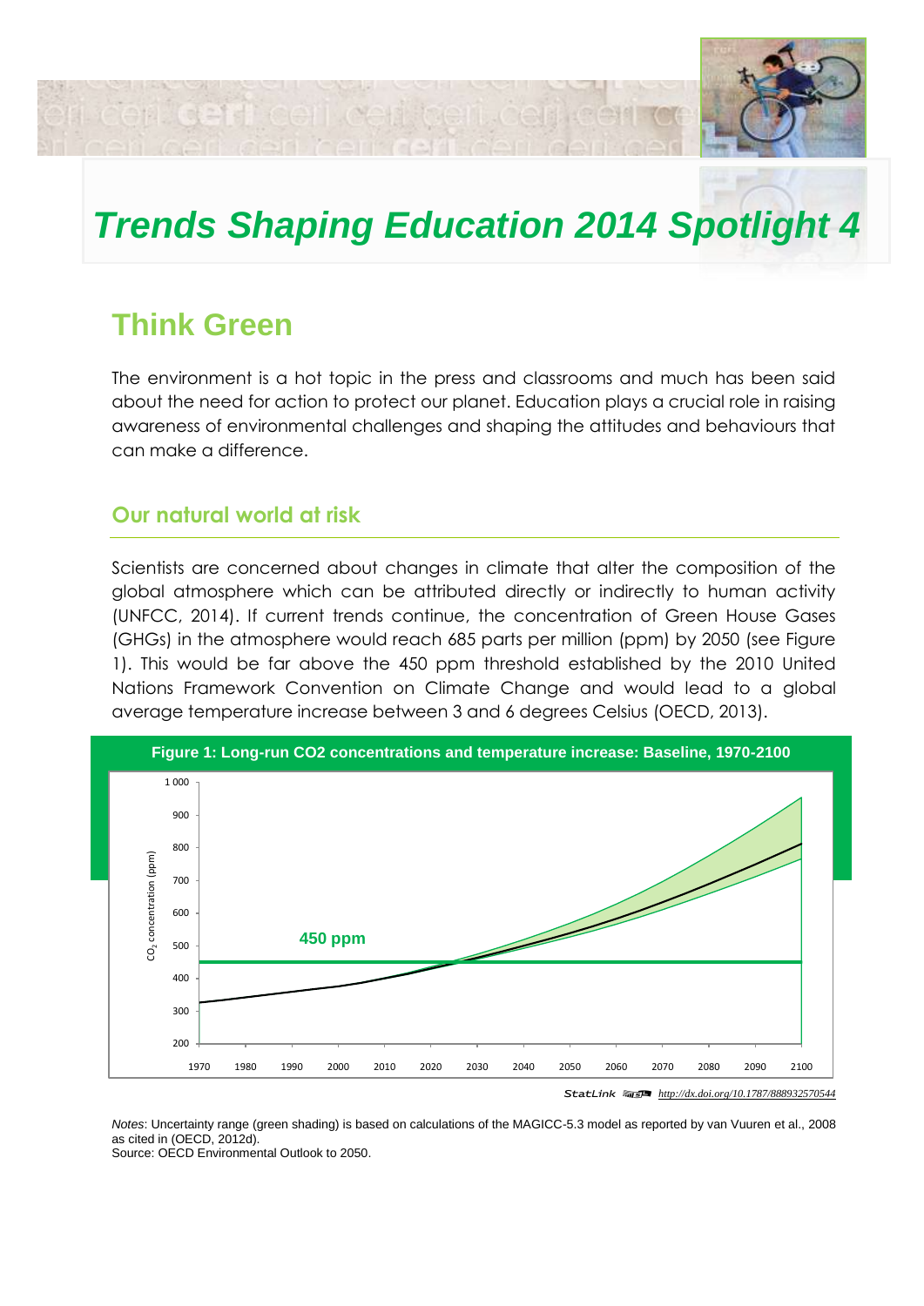

# *Trends Shaping Education 2014 Spotlight 4*

# **Think Green**

ri ceri del l'eeri ceri te

The environment is a hot topic in the press and classrooms and much has been said about the need for action to protect our planet. Education plays a crucial role in raising awareness of environmental challenges and shaping the attitudes and behaviours that can make a difference.

# **Our natural world at risk**

Scientists are concerned about changes in climate that alter the composition of the global atmosphere which can be attributed directly or indirectly to human activity (UNFCC, 2014). If current trends continue, the concentration of Green House Gases (GHGs) in the atmosphere would reach 685 parts per million (ppm) by 2050 (see Figure 1). This would be far above the 450 ppm threshold established by the 2010 United Nations Framework Convention on Climate Change and would lead to a global average temperature increase between 3 and 6 degrees Celsius (OECD, 2013).



*Notes*: Uncertainty range (green shading) is based on calculations of the MAGICC-5.3 model as reported by van Vuuren et al., 2008

as cited in (OECD, 2012d). Source: OECD Environmental Outlook to 2050.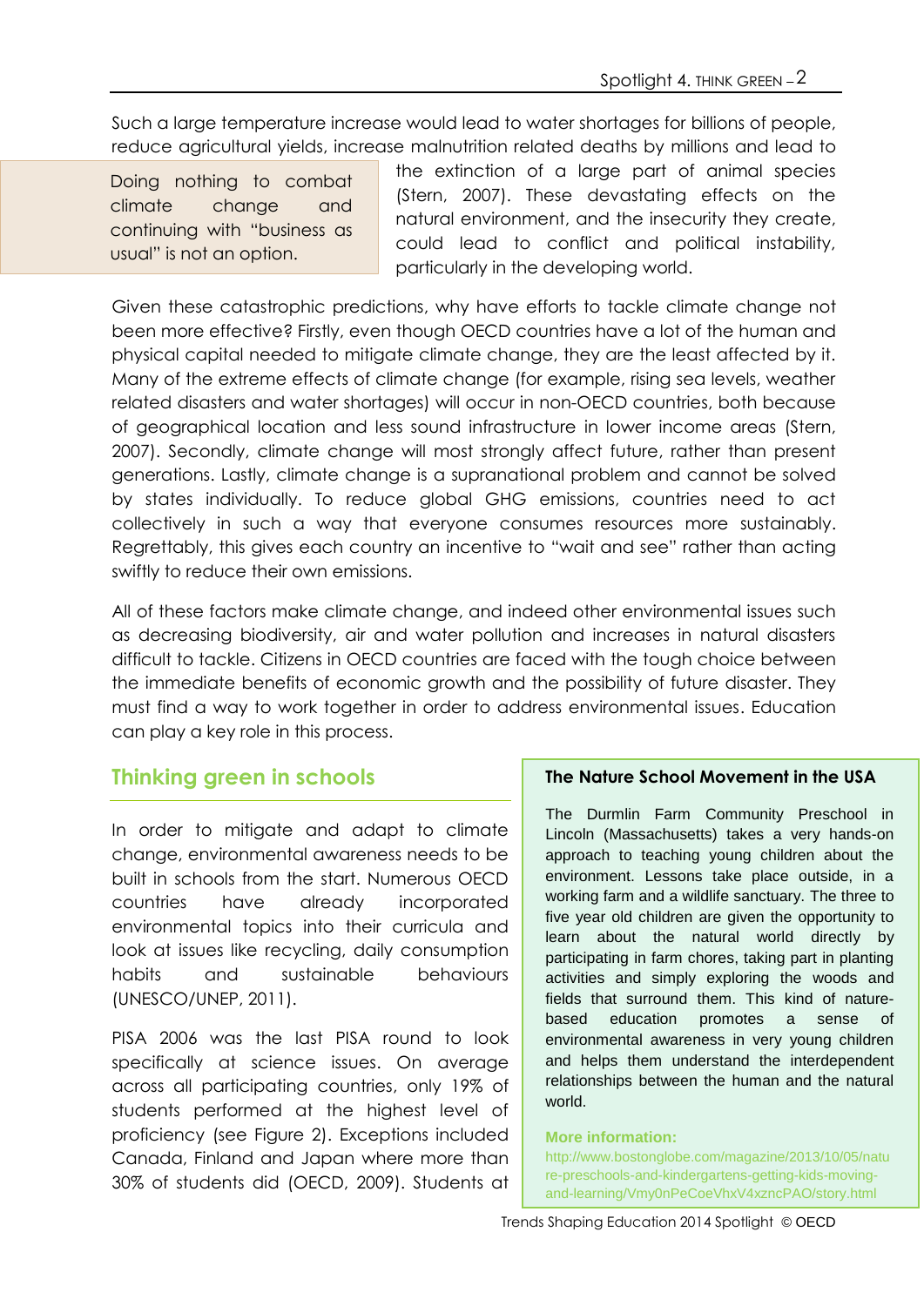Such a large temperature increase would lead to water shortages for billions of people, reduce agricultural yields, increase malnutrition related deaths by millions and lead to

Doing nothing to combat climate change and continuing with "business as usual" is not an option.

the extinction of a large part of animal species (Stern, 2007). These devastating effects on the natural environment, and the insecurity they create, could lead to conflict and political instability, particularly in the developing world.

Given these catastrophic predictions, why have efforts to tackle climate change not been more effective? Firstly, even though OECD countries have a lot of the human and physical capital needed to mitigate climate change, they are the least affected by it. Many of the extreme effects of climate change (for example, rising sea levels, weather related disasters and water shortages) will occur in non-OECD countries, both because of geographical location and less sound infrastructure in lower income areas (Stern, 2007). Secondly, climate change will most strongly affect future, rather than present generations. Lastly, climate change is a supranational problem and cannot be solved by states individually. To reduce global GHG emissions, countries need to act collectively in such a way that everyone consumes resources more sustainably. Regrettably, this gives each country an incentive to "wait and see" rather than acting swiftly to reduce their own emissions.

All of these factors make climate change, and indeed other environmental issues such as decreasing biodiversity, air and water pollution and increases in natural disasters difficult to tackle. Citizens in OECD countries are faced with the tough choice between the immediate benefits of economic growth and the possibility of future disaster. They must find a way to work together in order to address environmental issues. Education can play a key role in this process.

# **Thinking green in schools**

In order to mitigate and adapt to climate change, environmental awareness needs to be built in schools from the start. Numerous OECD countries have already incorporated environmental topics into their curricula and look at issues like recycling, daily consumption habits and sustainable behaviours (UNESCO/UNEP, 2011).

PISA 2006 was the last PISA round to look specifically at science issues. On average across all participating countries, only 19% of students performed at the highest level of proficiency (see Figure 2). Exceptions included Canada, Finland and Japan where more than 30% of students did (OECD, 2009). Students at

#### **The Nature School Movement in the USA**

The Durmlin Farm Community Preschool in Lincoln (Massachusetts) takes a very hands-on approach to teaching young children about the environment. Lessons take place outside, in a working farm and a wildlife sanctuary. The three to five year old children are given the opportunity to learn about the natural world directly by participating in farm chores, taking part in planting activities and simply exploring the woods and fields that surround them. This kind of naturebased education promotes a sense of environmental awareness in very young children and helps them understand the interdependent relationships between the human and the natural world.

#### **More information:**

http://www.bostonglobe.com/magazine/2013/10/05/natu re-preschools-and-kindergartens-getting-kids-movingand-learning/Vmy0nPeCoeVhxV4xzncPAO/story.html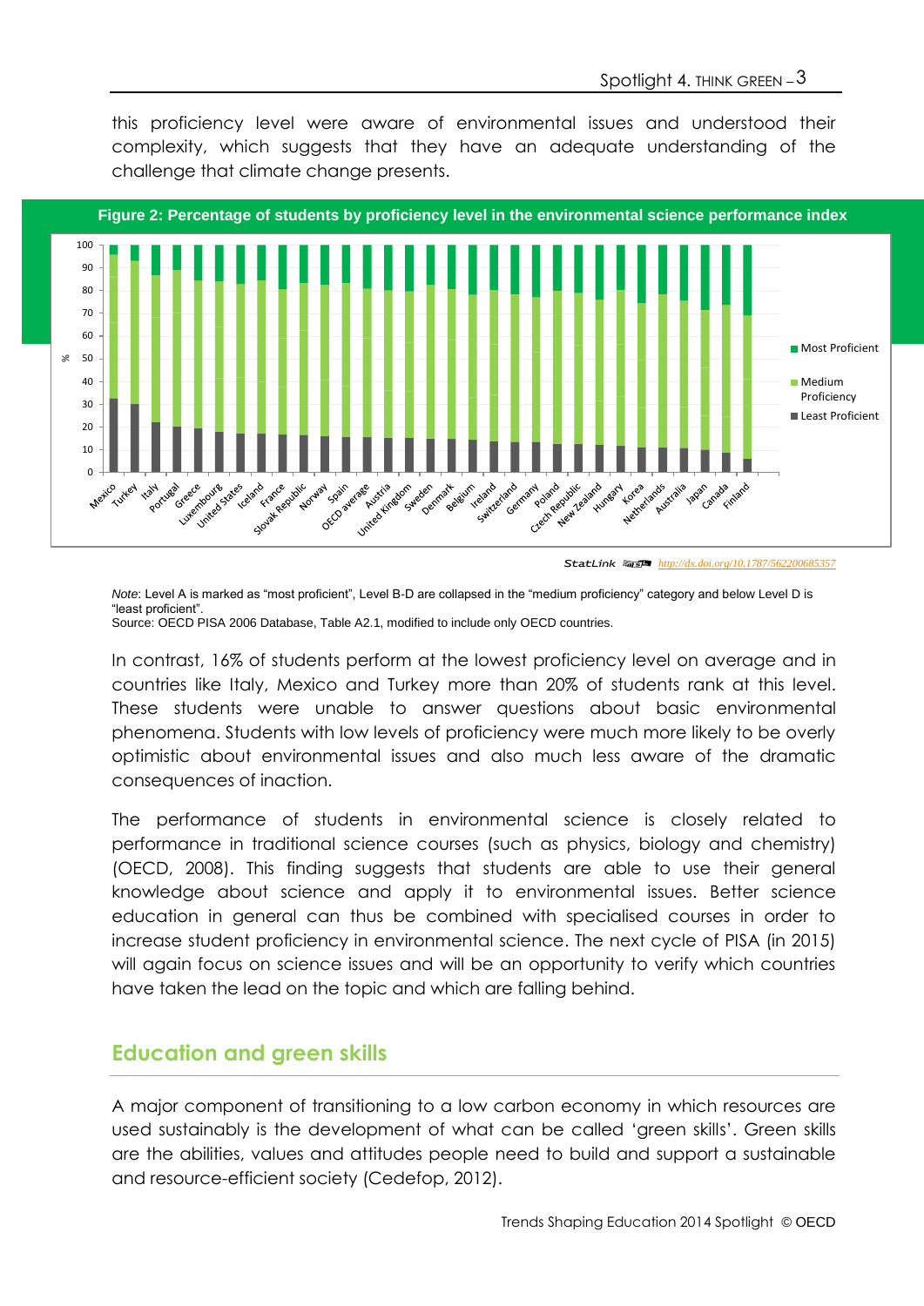this proficiency level were aware of environmental issues and understood their complexity, which suggests that they have an adequate understanding of the challenge that climate change presents.



<sup>1 2</sup> *<http://dx.doi.org/10.1787/562200685357>*

*Note*: Level A is marked as "most proficient", Level B-D are collapsed in the "medium proficiency" category and below Level D is "least proficient". Source: OECD PISA 2006 Database, Table A2.1, modified to include only OECD countries.

In contrast, 16% of students perform at the lowest proficiency level on average and in countries like Italy, Mexico and Turkey more than 20% of students rank at this level. These students were unable to answer questions about basic environmental phenomena. Students with low levels of proficiency were much more likely to be overly optimistic about environmental issues and also much less aware of the dramatic consequences of inaction.

The performance of students in environmental science is closely related to performance in traditional science courses (such as physics, biology and chemistry) (OECD, 2008). This finding suggests that students are able to use their general knowledge about science and apply it to environmental issues. Better science education in general can thus be combined with specialised courses in order to increase student proficiency in environmental science. The next cycle of PISA (in 2015) will again focus on science issues and will be an opportunity to verify which countries have taken the lead on the topic and which are falling behind.

# **Education and green skills**

A major component of transitioning to a low carbon economy in which resources are used sustainably is the development of what can be called 'green skills'. Green skills are the abilities, values and attitudes people need to build and support a sustainable and resource-efficient society (Cedefop, 2012).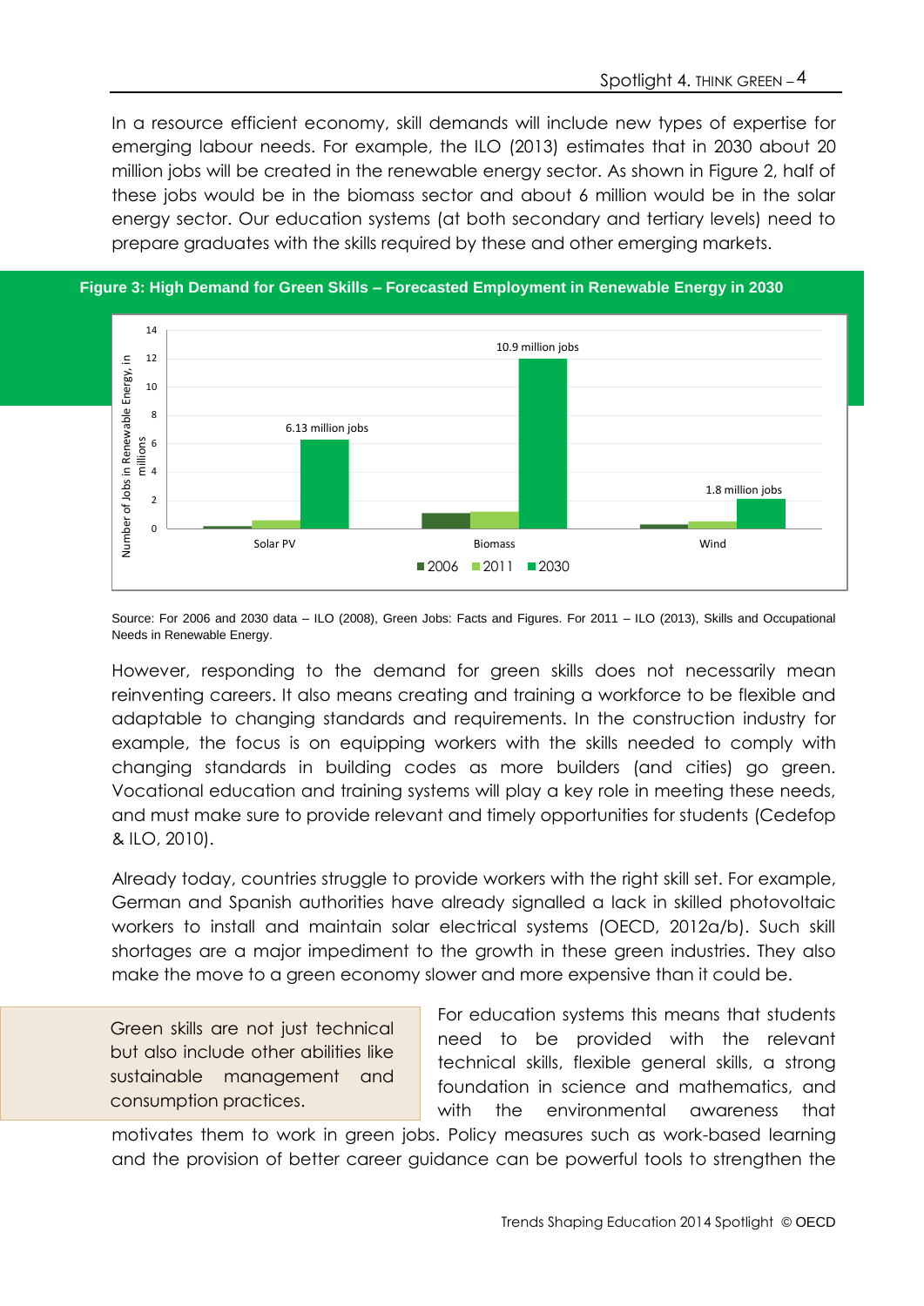In a resource efficient economy, skill demands will include new types of expertise for emerging labour needs. For example, the ILO (2013) estimates that in 2030 about 20 million jobs will be created in the renewable energy sector. As shown in Figure 2, half of these jobs would be in the biomass sector and about 6 million would be in the solar energy sector. Our education systems (at both secondary and tertiary levels) need to prepare graduates with the skills required by these and other emerging markets.



#### **Figure 3: High Demand for Green Skills – Forecasted Employment in Renewable Energy in 2030**

Source: For 2006 and 2030 data – ILO (2008), Green Jobs: Facts and Figures. For 2011 – ILO (2013), Skills and Occupational Needs in Renewable Energy.

However, responding to the demand for green skills does not necessarily mean reinventing careers. It also means creating and training a workforce to be flexible and adaptable to changing standards and requirements. In the construction industry for example, the focus is on equipping workers with the skills needed to comply with changing standards in building codes as more builders (and cities) go green. Vocational education and training systems will play a key role in meeting these needs, and must make sure to provide relevant and timely opportunities for students (Cedefop & ILO, 2010).

Already today, countries struggle to provide workers with the right skill set. For example, German and Spanish authorities have already signalled a lack in skilled photovoltaic workers to install and maintain solar electrical systems (OECD, 2012a/b). Such skill shortages are a major impediment to the growth in these green industries. They also make the move to a green economy slower and more expensive than it could be.

Green skills are not just technical but also include other abilities like sustainable management and consumption practices.

For education systems this means that students need to be provided with the relevant technical skills, flexible general skills, a strong foundation in science and mathematics, and with the environmental awareness that

motivates them to work in green jobs. Policy measures such as work-based learning and the provision of better career guidance can be powerful tools to strengthen the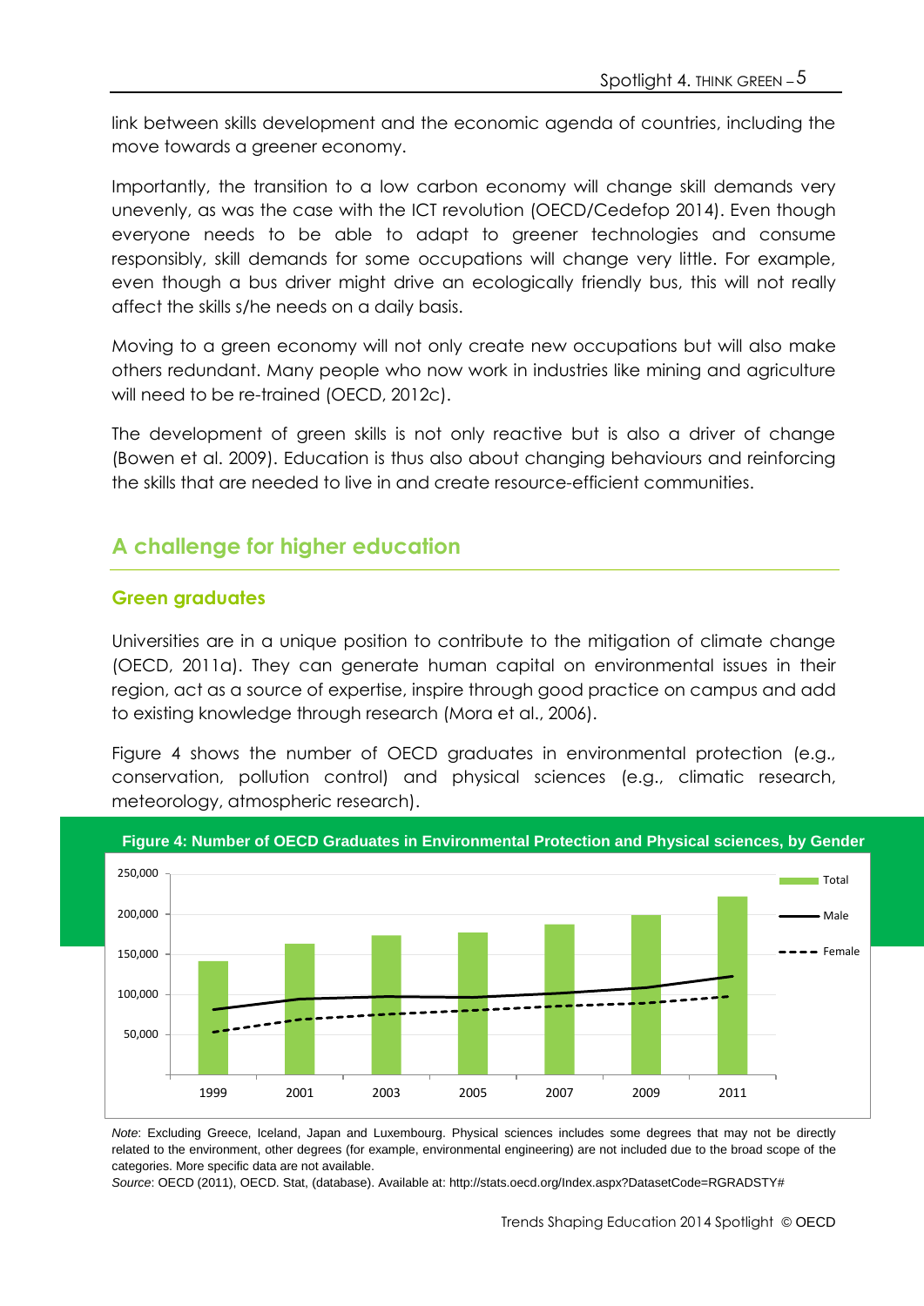link between skills development and the economic agenda of countries, including the move towards a greener economy.

Importantly, the transition to a low carbon economy will change skill demands very unevenly, as was the case with the ICT revolution (OECD/Cedefop 2014). Even though everyone needs to be able to adapt to greener technologies and consume responsibly, skill demands for some occupations will change very little. For example, even though a bus driver might drive an ecologically friendly bus, this will not really affect the skills s/he needs on a daily basis.

Moving to a green economy will not only create new occupations but will also make others redundant. Many people who now work in industries like mining and agriculture will need to be re-trained (OECD, 2012c).

The development of green skills is not only reactive but is also a driver of change (Bowen et al. 2009). Education is thus also about changing behaviours and reinforcing the skills that are needed to live in and create resource-efficient communities.

# **A challenge for higher education**

#### **Green graduates**

Universities are in a unique position to contribute to the mitigation of climate change (OECD, 2011a). They can generate human capital on environmental issues in their region, act as a source of expertise, inspire through good practice on campus and add to existing knowledge through research (Mora et al., 2006).

Figure 4 shows the number of OECD graduates in environmental protection (e.g., conservation, pollution control) and physical sciences (e.g., climatic research, meteorology, atmospheric research).



**Figure 4: Number of OECD Graduates in Environmental Protection and Physical sciences, by Gender**

*Note*: Excluding Greece, Iceland, Japan and Luxembourg. Physical sciences includes some degrees that may not be directly related to the environment, other degrees (for example, environmental engineering) are not included due to the broad scope of the categories. More specific data are not available.

*Source*: OECD (2011), OECD. Stat, (database). Available at: http://stats.oecd.org/Index.aspx?DatasetCode=RGRADSTY#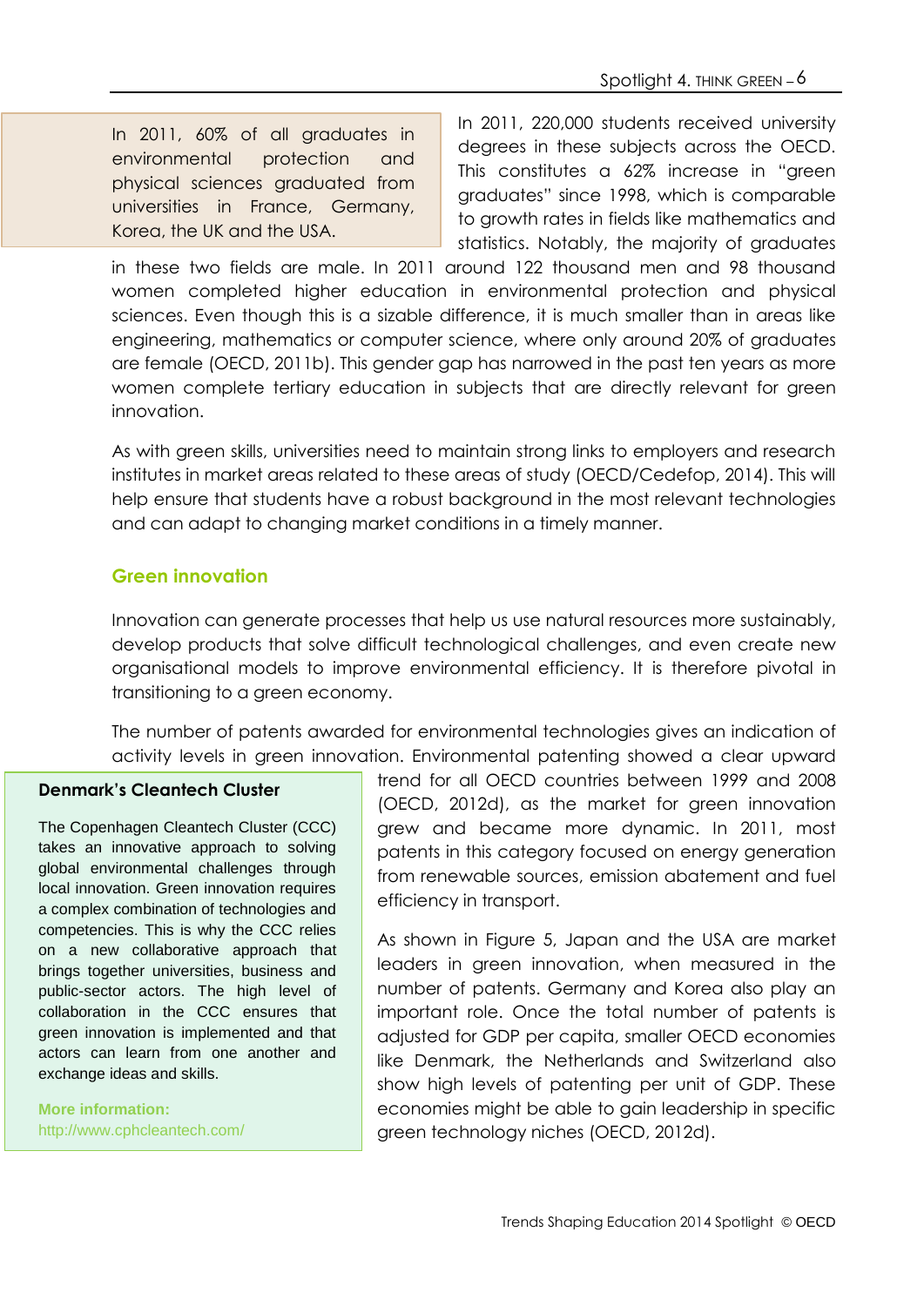In 2011, 60% of all graduates in environmental protection and physical sciences graduated from universities in France, Germany, Korea, the UK and the USA.

In 2011, 220,000 students received university degrees in these subjects across the OECD. This constitutes a 62% increase in "green graduates" since 1998, which is comparable to growth rates in fields like mathematics and statistics. Notably, the majority of graduates

in these two fields are male. In 2011 around 122 thousand men and 98 thousand women completed higher education in environmental protection and physical sciences. Even though this is a sizable difference, it is much smaller than in areas like engineering, mathematics or computer science, where only around 20% of graduates are female (OECD, 2011b). This gender gap has narrowed in the past ten years as more women complete tertiary education in subjects that are directly relevant for green innovation.

As with green skills, universities need to maintain strong links to employers and research institutes in market areas related to these areas of study (OECD/Cedefop, 2014). This will help ensure that students have a robust background in the most relevant technologies and can adapt to changing market conditions in a timely manner.

#### **Green innovation**

Innovation can generate processes that help us use natural resources more sustainably, develop products that solve difficult technological challenges, and even create new organisational models to improve environmental efficiency. It is therefore pivotal in transitioning to a green economy.

The number of patents awarded for environmental technologies gives an indication of activity levels in green innovation. Environmental patenting showed a clear upward

#### **Denmark's Cleantech Cluster**

The Copenhagen Cleantech Cluster (CCC) takes an innovative approach to solving global environmental challenges through local innovation. Green innovation requires a complex combination of technologies and competencies. This is why the CCC relies on a new collaborative approach that brings together universities, business and public-sector actors. The high level of collaboration in the CCC ensures that green innovation is implemented and that actors can learn from one another and exchange ideas and skills.

**More information:** http://www.cphcleantech.com/ trend for all OECD countries between 1999 and 2008 (OECD, 2012d), as the market for green innovation grew and became more dynamic. In 2011, most patents in this category focused on energy generation from renewable sources, emission abatement and fuel efficiency in transport.

As shown in Figure 5, Japan and the USA are market leaders in green innovation, when measured in the number of patents. Germany and Korea also play an important role. Once the total number of patents is adjusted for GDP per capita, smaller OECD economies like Denmark, the Netherlands and Switzerland also show high levels of patenting per unit of GDP. These economies might be able to gain leadership in specific green technology niches (OECD, 2012d).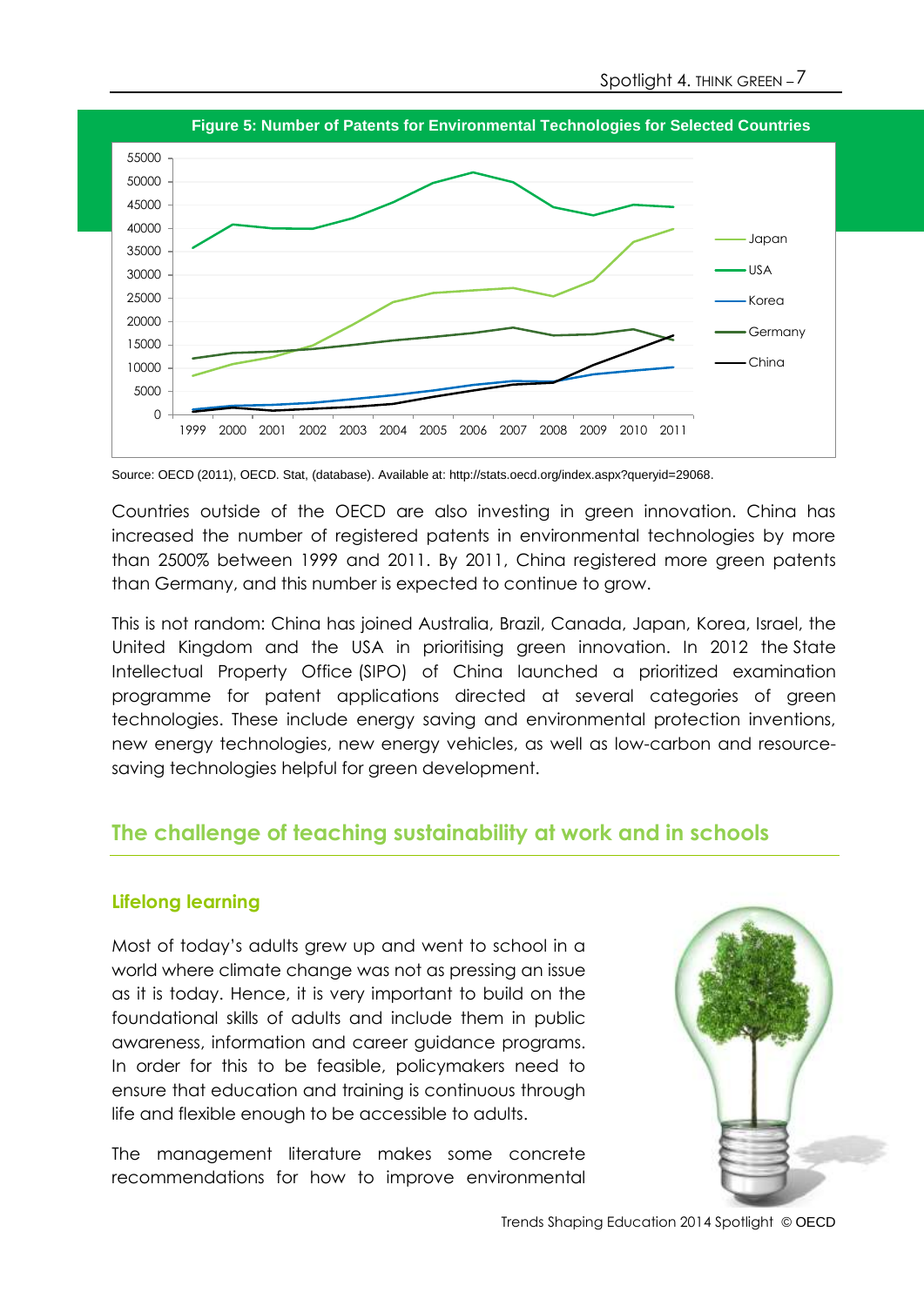

Source: OECD (2011), OECD. Stat, (database). Available at[: http://stats.oecd.org/index.aspx?queryid=29068.](http://stats.oecd.org/index.aspx?queryid=29068)

Countries outside of the OECD are also investing in green innovation. China has increased the number of registered patents in environmental technologies by more than 2500% between 1999 and 2011. By 2011, China registered more green patents than Germany, and this number is expected to continue to grow.

This is not random: China has joined Australia, Brazil, Canada, Japan, Korea, Israel, the United Kingdom and the USA in prioritising green innovation. In 2012 the [State](http://english.sipo.gov.cn/)  [Intellectual Property Office](http://english.sipo.gov.cn/) (SIPO) of China launched a prioritized examination programme for patent applications directed at several categories of green technologies. These include energy saving and environmental protection inventions, new energy technologies, new energy vehicles, as well as low-carbon and resourcesaving technologies helpful for green development.

## **The challenge of teaching sustainability at work and in schools**

#### **Lifelong learning**

Most of today's adults grew up and went to school in a world where climate change was not as pressing an issue as it is today. Hence, it is very important to build on the foundational skills of adults and include them in public awareness, information and career guidance programs. In order for this to be feasible, policymakers need to ensure that education and training is continuous through life and flexible enough to be accessible to adults.

The management literature makes some concrete recommendations for how to improve environmental



Trends Shaping Education 2014 Spotlight © OECD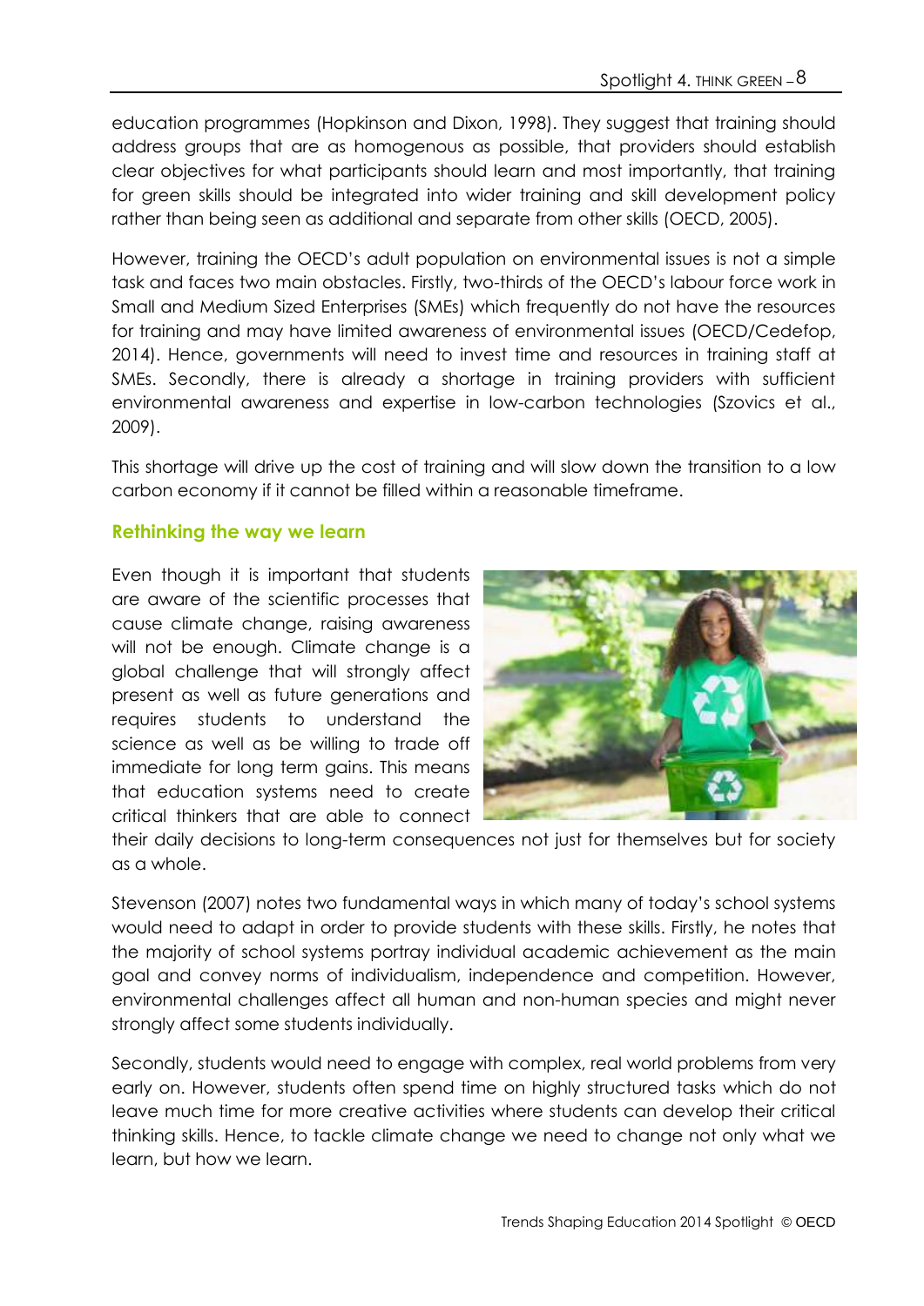education programmes (Hopkinson and Dixon, 1998). They suggest that training should address groups that are as homogenous as possible, that providers should establish clear objectives for what participants should learn and most importantly, that training for green skills should be integrated into wider training and skill development policy rather than being seen as additional and separate from other skills (OECD, 2005).

However, training the OECD's adult population on environmental issues is not a simple task and faces two main obstacles. Firstly, two-thirds of the OECD's labour force work in Small and Medium Sized Enterprises (SMEs) which frequently do not have the resources for training and may have limited awareness of environmental issues (OECD/Cedefop, 2014). Hence, governments will need to invest time and resources in training staff at SMEs. Secondly, there is already a shortage in training providers with sufficient environmental awareness and expertise in low-carbon technologies (Szovics et al., 2009).

This shortage will drive up the cost of training and will slow down the transition to a low carbon economy if it cannot be filled within a reasonable timeframe.

#### **Rethinking the way we learn**

Even though it is important that students are aware of the scientific processes that cause climate change, raising awareness will not be enough. Climate change is a global challenge that will strongly affect present as well as future generations and requires students to understand the science as well as be willing to trade off immediate for long term gains. This means that education systems need to create critical thinkers that are able to connect



their daily decisions to long-term consequences not just for themselves but for society as a whole.

Stevenson (2007) notes two fundamental ways in which many of today's school systems would need to adapt in order to provide students with these skills. Firstly, he notes that the majority of school systems portray individual academic achievement as the main goal and convey norms of individualism, independence and competition. However, environmental challenges affect all human and non-human species and might never strongly affect some students individually.

Secondly, students would need to engage with complex, real world problems from very early on. However, students often spend time on highly structured tasks which do not leave much time for more creative activities where students can develop their critical thinking skills. Hence, to tackle climate change we need to change not only what we learn, but how we learn.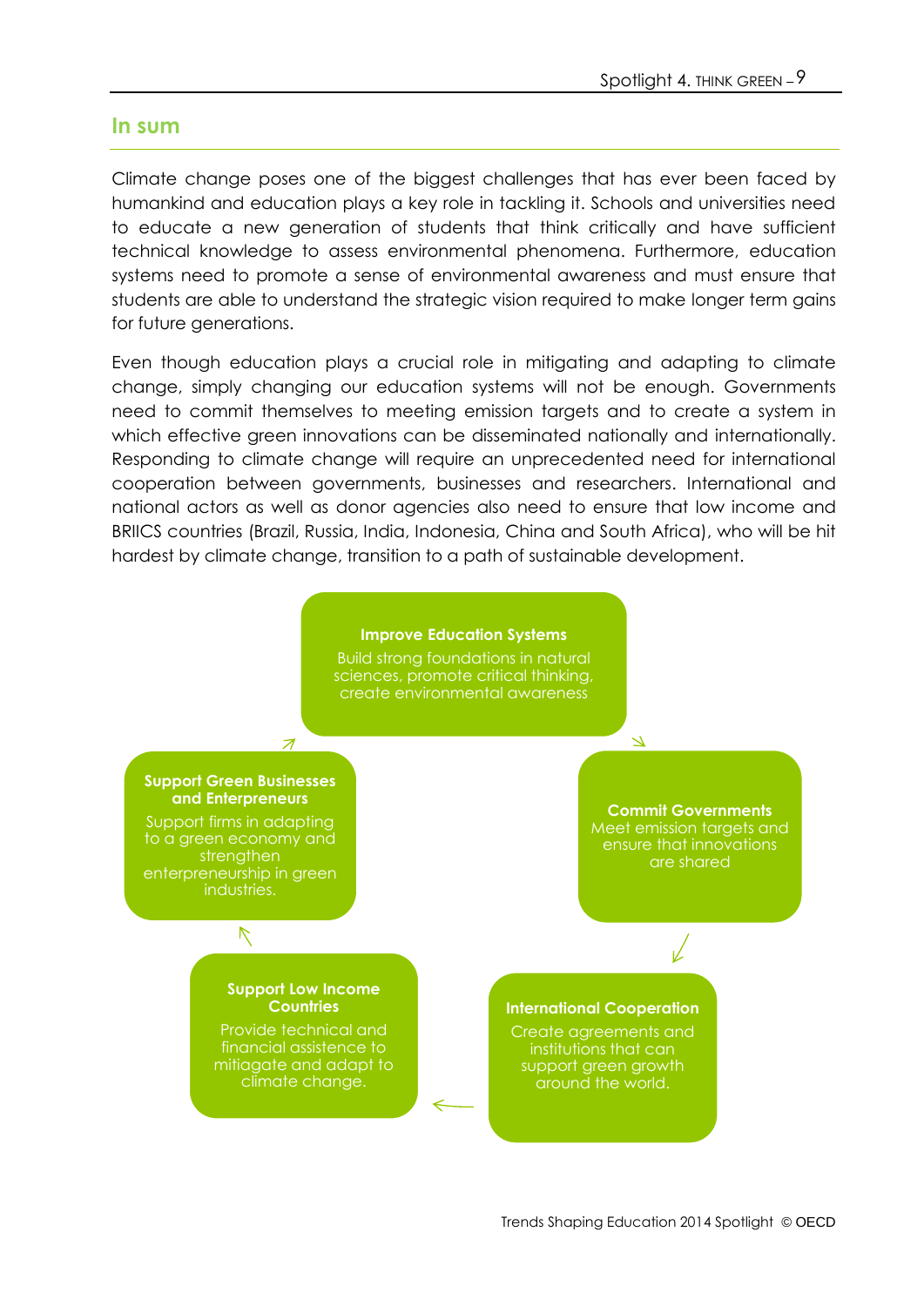#### **In sum**

Climate change poses one of the biggest challenges that has ever been faced by humankind and education plays a key role in tackling it. Schools and universities need to educate a new generation of students that think critically and have sufficient technical knowledge to assess environmental phenomena. Furthermore, education systems need to promote a sense of environmental awareness and must ensure that students are able to understand the strategic vision required to make longer term gains for future generations.

Even though education plays a crucial role in mitigating and adapting to climate change, simply changing our education systems will not be enough. Governments need to commit themselves to meeting emission targets and to create a system in which effective green innovations can be disseminated nationally and internationally. Responding to climate change will require an unprecedented need for international cooperation between governments, businesses and researchers. International and national actors as well as donor agencies also need to ensure that low income and BRIICS countries (Brazil, Russia, India, Indonesia, China and South Africa), who will be hit hardest by climate change, transition to a path of sustainable development.

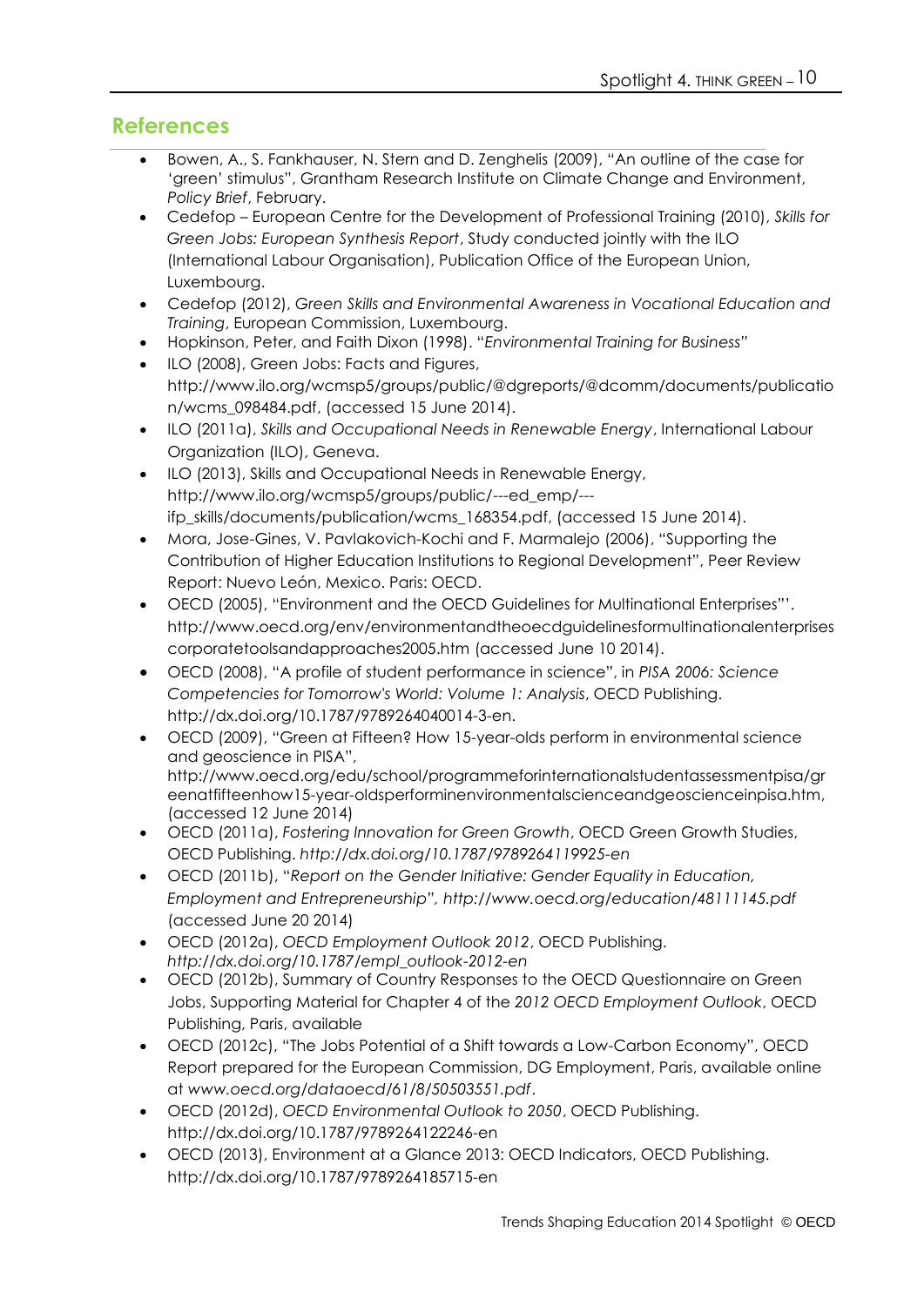## **References**

- Bowen, A., S. Fankhauser, N. Stern and D. Zenghelis (2009), "An outline of the case for 'green' stimulus", Grantham Research Institute on Climate Change and Environment, *Policy Brief*, February.
- Cedefop European Centre for the Development of Professional Training (2010), *Skills for Green Jobs: European Synthesis Report*, Study conducted jointly with the ILO (International Labour Organisation), Publication Office of the European Union, Luxembourg.
- Cedefop (2012), *Green Skills and Environmental Awareness in Vocational Education and Training*, European Commission, Luxembourg.
- Hopkinson, Peter, and Faith Dixon (1998). "*Environmental Training for Business"*
- ILO (2008), Green Jobs: Facts and Figures, [http://www.ilo.org/wcmsp5/groups/public/@dgreports/@dcomm/documents/publicatio](http://www.ilo.org/wcmsp5/groups/public/@dgreports/@dcomm/documents/publication/wcms_098484.pdf) [n/wcms\\_098484.pdf,](http://www.ilo.org/wcmsp5/groups/public/@dgreports/@dcomm/documents/publication/wcms_098484.pdf) (accessed 15 June 2014).
- ILO (2011a), *Skills and Occupational Needs in Renewable Energy*, International Labour Organization (ILO), Geneva.
- ILO (2013), Skills and Occupational Needs in Renewable Energy, [http://www.ilo.org/wcmsp5/groups/public/---ed\\_emp/--](http://www.ilo.org/wcmsp5/groups/public/---ed_emp/---ifp_skills/documents/publication/wcms_168354.pdf) [ifp\\_skills/documents/publication/wcms\\_168354.pdf,](http://www.ilo.org/wcmsp5/groups/public/---ed_emp/---ifp_skills/documents/publication/wcms_168354.pdf) (accessed 15 June 2014).
- Mora, Jose-Gines, V. Pavlakovich-Kochi and F. Marmalejo (2006), "Supporting the Contribution of Higher Education Institutions to Regional Development", Peer Review Report: Nuevo León, Mexico. Paris: OECD.
- OECD (2005), "Environment and the OECD Guidelines for Multinational Enterprises"'. [http://www.oecd.org/env/environmentandtheoecdguidelinesformultinationalenterprises](http://www.oecd.org/env/environmentandtheoecdguidelinesformultinationalenterprisescorporatetoolsandapproaches2005.htm) [corporatetoolsandapproaches2005.htm](http://www.oecd.org/env/environmentandtheoecdguidelinesformultinationalenterprisescorporatetoolsandapproaches2005.htm) (accessed June 10 2014).
- OECD (2008), "A profile of student performance in science", in *PISA 2006: Science Competencies for Tomorrow's World: Volume 1: Analysis*, OECD Publishing. http://dx.doi.org/10.1787/9789264040014-3-en.
- OECD (2009), "Green at Fifteen? How 15-year-olds perform in environmental science and geoscience in PISA", [http://www.oecd.org/edu/school/programmeforinternationalstudentassessmentpisa/gr](http://www.oecd.org/edu/school/programmeforinternationalstudentassessmentpisa/greenatfifteenhow15-year-oldsperforminenvironmentalscienceandgeoscienceinpisa.htm) [eenatfifteenhow15-year-oldsperforminenvironmentalscienceandgeoscienceinpisa.htm,](http://www.oecd.org/edu/school/programmeforinternationalstudentassessmentpisa/greenatfifteenhow15-year-oldsperforminenvironmentalscienceandgeoscienceinpisa.htm) (accessed 12 June 2014)
- OECD (2011a), *Fostering Innovation for Green Growth*, OECD Green Growth Studies, OECD Publishing. *<http://dx.doi.org/10.1787/9789264119925-en>*
- OECD (2011b), "*Report on the Gender Initiative: Gender Equality in Education, Employment and Entrepreneurship", http://www.oecd.org/education/48111145.pdf* (accessed June 20 2014)
- OECD (2012a), *OECD Employment Outlook 2012*, OECD Publishing. *http://dx.doi.org/10.1787/empl\_outlook-2012-en*
- OECD (2012b), Summary of Country Responses to the OECD Questionnaire on Green Jobs, Supporting Material for Chapter 4 of the *2012 OECD Employment Outlook*, OECD Publishing, Paris, available
- OECD (2012c), "The Jobs Potential of a Shift towards a Low-Carbon Economy", OECD Report prepared for the European Commission, DG Employment, Paris, available online at *www.oecd.org/dataoecd/61/8/50503551.pdf*.
- OECD (2012d), *OECD Environmental Outlook to 2050*, OECD Publishing. <http://dx.doi.org/10.1787/9789264122246-en>
- OECD (2013), Environment at a Glance 2013: OECD Indicators, OECD Publishing. <http://dx.doi.org/10.1787/9789264185715-en>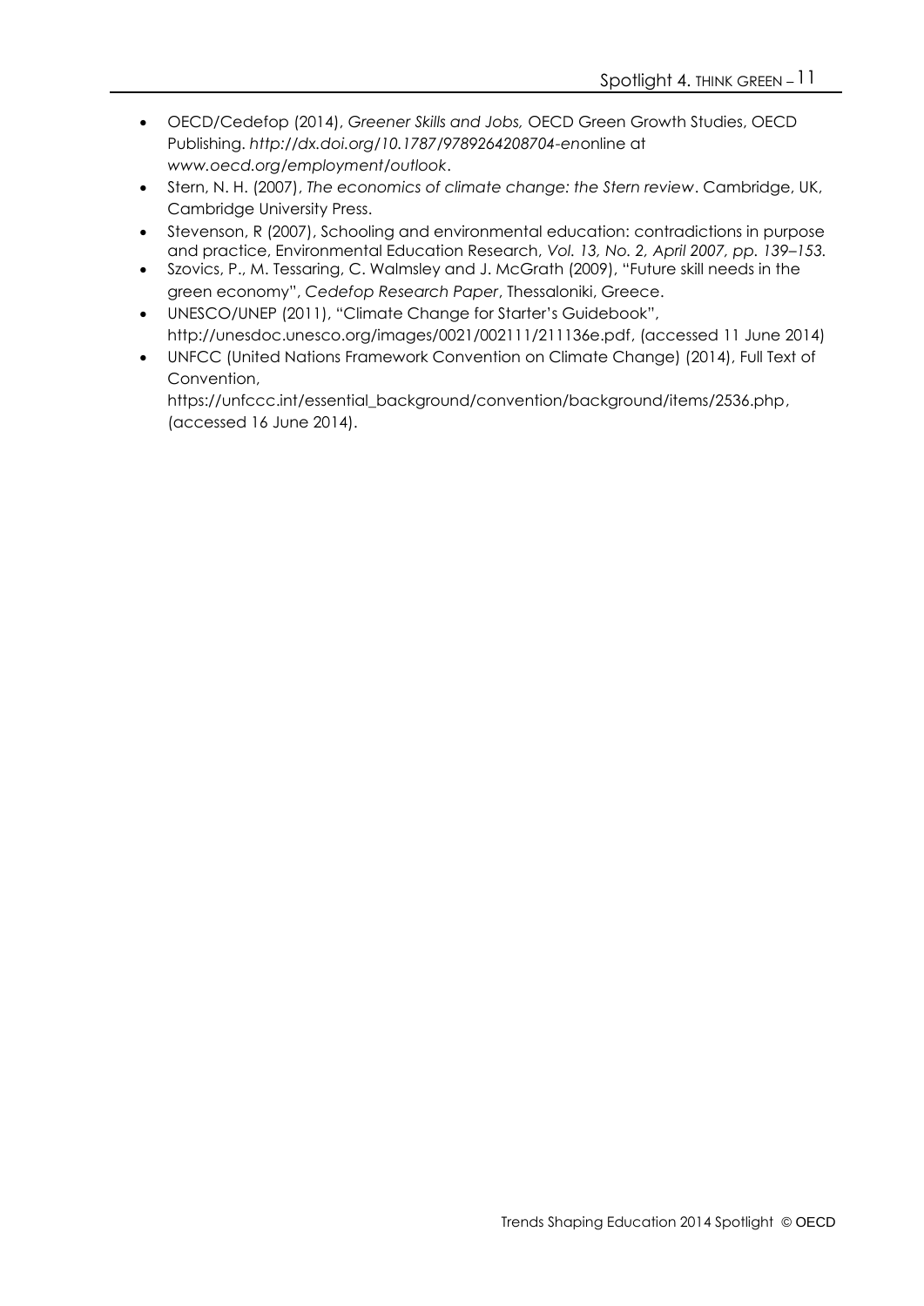- OECD/Cedefop (2014), *Greener Skills and Jobs,* OECD Green Growth Studies, OECD Publishing. *<http://dx.doi.org/10.1787/9789264208704-en>*online at *[www.oecd.org/employment/outlook](http://www.oecd.org/employment/outlook)*.
- Stern, N. H. (2007), *The economics of climate change: the Stern review*. Cambridge, UK, Cambridge University Press.
- Stevenson, R (2007), Schooling and environmental education: contradictions in purpose and practice, Environmental Education Research, *Vol. 13, No. 2, April 2007, pp. 139–153.*
- Szovics, P., M. Tessaring, C. Walmsley and J. McGrath (2009), "Future skill needs in the green economy", *Cedefop Research Paper*, Thessaloniki, Greece.
- UNESCO/UNEP (2011), "Climate Change for Starter's Guidebook", [http://unesdoc.unesco.org/images/0021/002111/211136e.pdf,](http://unesdoc.unesco.org/images/0021/002111/211136e.pdf) (accessed 11 June 2014)
- UNFCC (United Nations Framework Convention on Climate Change) (2014), Full Text of Convention, [https://unfccc.int/essential\\_background/convention/background/items/2536.php,](https://unfccc.int/essential_background/convention/background/items/2536.php)

(accessed 16 June 2014).